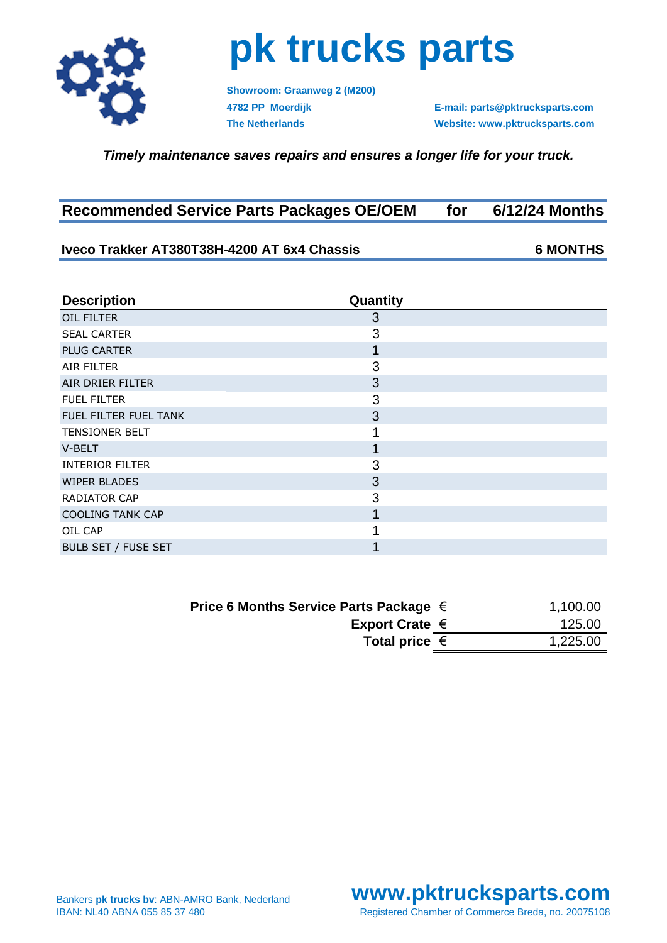

## **pk trucks parts**

**Showroom: Graanweg 2 (M200)**

**4782 PP Moerdijk E-mail: parts@pktrucksparts.com The Netherlands Website: www.pktrucksparts.com**

#### *Timely maintenance saves repairs and ensures a longer life for your truck.*

### **Recommended Service Parts Packages OE/OEM for 6/12/24 Months**

#### **Iveco Trakker AT380T38H-4200 AT 6x4 Chassis**

**6 MONTHS**

| <b>Description</b>      | Quantity |
|-------------------------|----------|
| OIL FILTER              | 3        |
| <b>SEAL CARTER</b>      | 3        |
| <b>PLUG CARTER</b>      |          |
| AIR FILTER              | 3        |
| AIR DRIER FILTER        | 3        |
| <b>FUEL FILTER</b>      | 3        |
| FUEL FILTER FUEL TANK   | 3        |
| <b>TENSIONER BELT</b>   |          |
| V-BELT                  |          |
| <b>INTERIOR FILTER</b>  | 3        |
| <b>WIPER BLADES</b>     | 3        |
| RADIATOR CAP            | 3        |
| <b>COOLING TANK CAP</b> |          |
| OIL CAP                 |          |
| BULB SET / FUSE SET     |          |

| Price 6 Months Service Parts Package $\in$ | 1,100.00 |
|--------------------------------------------|----------|
| Export Crate $\in$                         | 125.00   |
| Total price $\epsilon$                     | 1,225.00 |



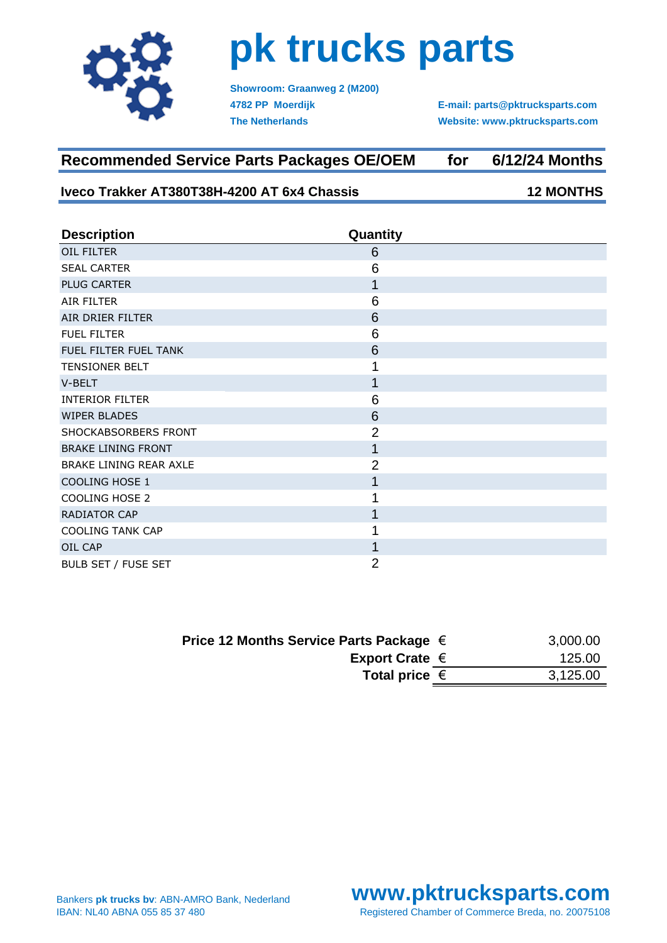

# **pk trucks parts**

**Showroom: Graanweg 2 (M200) 4782 PP Moerdijk The Netherlands**

**E-mail: parts@pktrucksparts.com Website: www.pktrucksparts.com**

**12 MONTHS**

#### Recommended Service Parts Packages OE/OEM for 6/12/24 Months **for**

### **Iveco Trakker AT380T38H-4200 AT 6x4 Chassis**

**Description Quantity OIL FILTER** 6 SEAL CARTER 6 PLUG CARTER **1** AIR FILTER 6 AIR DRIER FILTER 6 FUEL FILTER 6 FUEL FILTER FUEL TANK 6 TENSIONER BELT 1  $V$ -BELT  $\qquad \qquad$  1 INTERIOR FILTER 6 WIPER BLADES 6 SHOCKABSORBERS FRONT 2 BRAKE LINING FRONT 1 2007 1 2007 1 2008 1 2008 1 2008 1 2008 1 2008 1 2008 1 2008 1 2008 1 2008 1 2008 1 2008 1 BRAKE LINING REAR AXLE 2 COOLING HOSE 1 1 COOLING HOSE 2 1 RADIATOR CAP **1** COOLING TANK CAP 1 OIL CAP **1** BULB SET / FUSE SET 2

| Price 12 Months Service Parts Package $\in$ | 3,000.00 |
|---------------------------------------------|----------|
| Export Crate $\in$                          | 125.00   |
| Total price $\epsilon$                      | 3,125.00 |